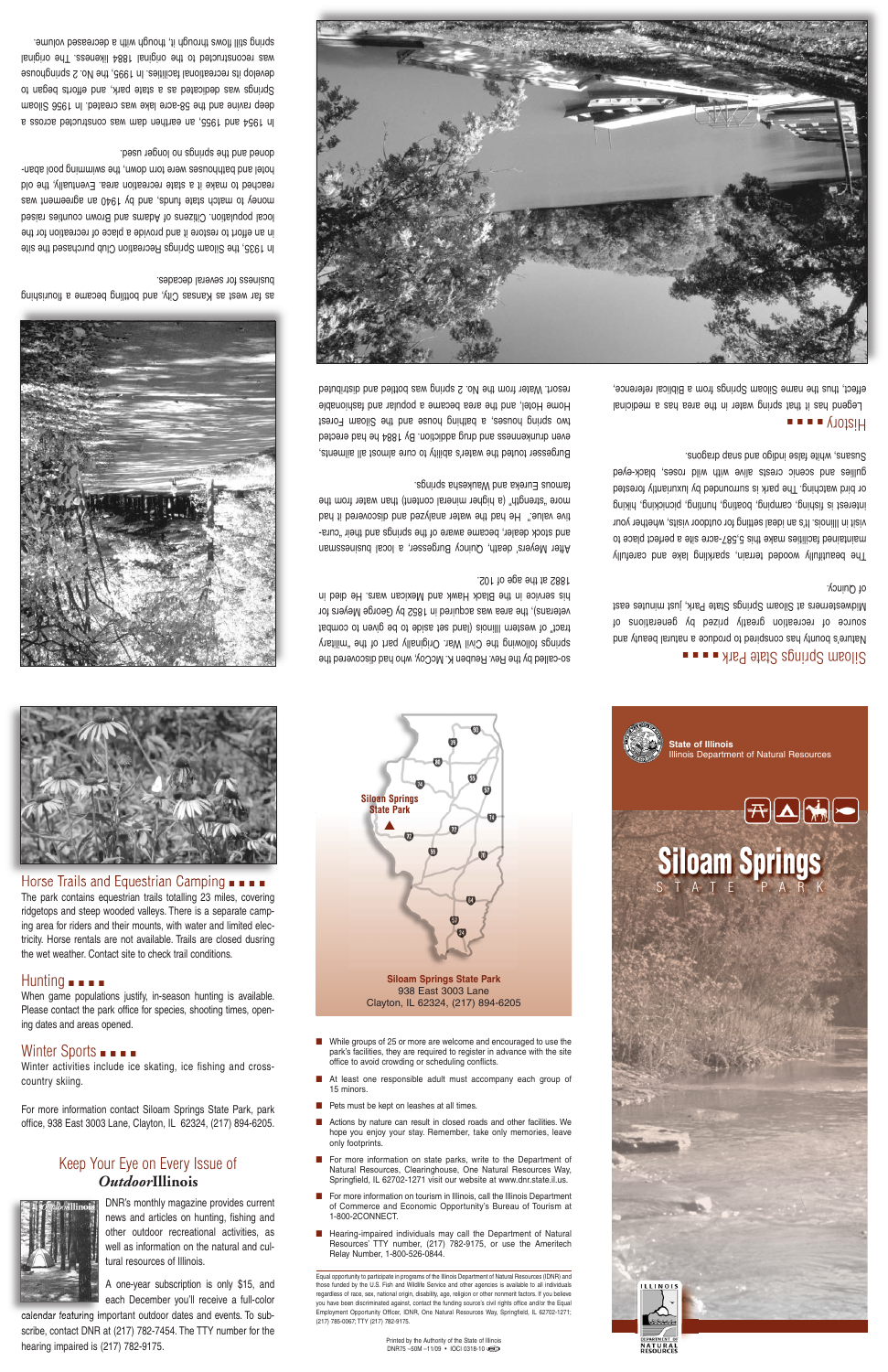# Keep Your Eye on Every Issue of *Outdoor***Illinois**



DNR's monthly magazine provides current news and articles on hunting, fishing and other outdoor recreational activities, as well as information on the natural and cultural resources of Illinois.

A one-year subscription is only \$15, and each December you'll receive a full-color

**Siloan Springs State Park** ▲  $\bullet$ 

calendar featuring important outdoor dates and events. To subscribe, contact DNR at (217) 782-7454. The TTY number for the hearing impaired is (217) 782-9175.



## ■ ■ ■ Parke Batte State Park ■ ■ ■

**Siloam Springs State Park**

#### 938 East 3003 Lane Clayton, IL 62324, (217) 894-6205

- While groups of 25 or more are welcome and encouraged to use the park's facilities, they are required to register in advance with the site office to avoid crowding or scheduling conflicts.
- At least one responsible adult must accompany each group of 15 minors.
- Pets must be kept on leashes at all times.
- Actions by nature can result in closed roads and other facilities. We hope you enjoy your stay. Remember, take only memories, leave only footprints.
- For more information on state parks, write to the Department of Natural Resources, Clearinghouse, One Natural Resources Way, Springfield, IL 62702-1271 visit our website at www.dnr.state.il.us.
- For more information on tourism in Illinois, call the Illinois Department of Commerce and Economic Opportunity's Bureau of Tourism at 1-800-2CONNECT.
- Hearing-impaired individuals may call the Department of Natural Resources' TTY number, (217) 782-9175, or use the Ameritech Relay Number, 1-800-526-0844.

Nature's bounty has conspired to produce <sup>a</sup> natural beauty and source of recreation greatly prized by generations of Midwesterners at Siloam Springs State Park, just minutes east ot Quincy.

The beautifully wooded terrain, sparkling lake and carefully maintained facilities make this 5,587-acre site <sup>a</sup> perfect place to visit in Illinois. It's an ideal setting for outdoor visits, whether your interest is fishing, camping, boating, hunting, picnicking, hiking or bird watching. The park is surrounded by luxuriantly forested gullies and scenic crests alive with wild roses, black-eyed Susape in alse in the conservance is supposed.

Equal opportunity to participate in programs of the Illinois Department of Natural Resources (IDNR) and those funded by the U.S. Fish and Wildlife Service and other agencies is available to all individuals regardless of race, sex, national origin, disability, age, religion or other nonmerit factors. If you believe you have been discriminated against, contact the funding source's civil rights office and/or the Equal Employment Opportunity Officer, IDNR, One Natural Resources Way, Springfield, IL 62702-1271; (217) 785-0067; TTY (217) 782-9175.

In 1935, the Siloam Springs Recreation Club purchased the site in an effort to restore it and provide <sup>a</sup> place of recreation for the local population. Citizens of Adams and Brown counties raised money to match state funds is an about was sew induced by the match was reached to make it <sup>a</sup> state recreation area. Eventually, the old hotel and bathhouses were torn down, the swimming pool abandoned and the springs no longer used.

Printed by the Authority of the State of Illinois DNR75 –50M –11/09 • IOCI 0318-10



In 1954 and 1955, an earthen dam was constructed across <sup>a</sup> deep ravine and the 58-acre lake was created. In 1956 Siloam Springs was dedicated as <sup>a</sup> state park, and efforts began to develop its recreational facilities. In 1995, the No. 2 springhouse was reconstructed to the original 1884 likeness. The original spring still flows through it, though with a decreased volume.

#### ■ ■ ■ ■ History

Legend has it that spring water in the area has <sup>a</sup> medicinal effect, thus the name Siloam Springs from <sup>a</sup> Biblical reference,



so-called by the Rev. Reuben K. McCoy, who had discovered the springs following the Civil War. Originally part of the "military tract" of western Illinois (land set aside to be given to combat veterans), the area was acquired in 1852 by George Meyers for his service in the Black Hawk and Mexican wars. He died in

#### 1882 at the age of 102.

After Meyers' death, Quincy Burgesser, <sup>a</sup> local businessman and stock dealer, became aware of the springs and their "curative value." He had the water analyzed and discovered it had more "strength" (a higher mineral content) than water from the famous Eureka and Waukesha springs.

Burgesser touted the water's ability to cure almost all ailments, even drunkenness and drug addiction. By 1884 he had erected terior medics, a bathing house and the Siloam Forest Home Hotel, and the area became <sup>a</sup> popular and fashionable resort. Water from the No. 2 spring was bottled and distributed

as far west as Kansas City, and bottling became <sup>a</sup> flourishing business for several decades.







The park contains equestrian trails totalling 23 miles, covering ridgetops and steep wooded valleys. There is a separate camping area for riders and their mounts, with water and limited electricity. Horse rentals are not available. Trails are closed dusring the wet weather. Contact site to check trail conditions.

### Hunting ■ ■ ■ ■ When game populations justify, in-season hunting is available.

Please contact the park office for species, shooting times, opening dates and areas opened.

# Winter Sports **■ ■ ■**

Winter activities include ice skating, ice fishing and crosscountry skiing.

For more information contact Siloam Springs State Park, park office, 938 East 3003 Lane, Clayton, IL 62324, (217) 894-6205.